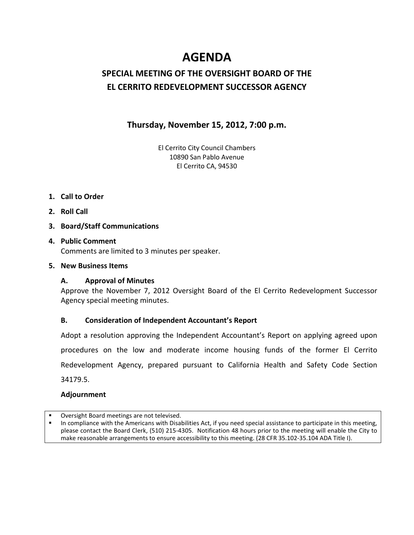# **AGENDA**

## **SPECIAL MEETING OF THE OVERSIGHT BOARD OF THE EL CERRITO REDEVELOPMENT SUCCESSOR AGENCY**

## **Thursday, November 15, 2012, 7:00 p.m.**

El Cerrito City Council Chambers 10890 San Pablo Avenue El Cerrito CA, 94530

## **1. Call to Order**

**2. Roll Call**

## **3. Board/Staff Communications**

## **4. Public Comment** Comments are limited to 3 minutes per speaker.

## **5. New Business Items**

## **A. Approval of Minutes**

Approve the November 7, 2012 Oversight Board of the El Cerrito Redevelopment Successor Agency special meeting minutes.

## **B. Consideration of Independent Accountant's Report**

Adopt a resolution approving the Independent Accountant's Report on applying agreed upon procedures on the low and moderate income housing funds of the former El Cerrito Redevelopment Agency, prepared pursuant to California Health and Safety Code Section 34179.5.

### **Adjournment**

Oversight Board meetings are not televised.

 In compliance with the Americans with Disabilities Act, if you need special assistance to participate in this meeting, please contact the Board Clerk, (510) 215-4305. Notification 48 hours prior to the meeting will enable the City to make reasonable arrangements to ensure accessibility to this meeting. (28 CFR 35.102-35.104 ADA Title I).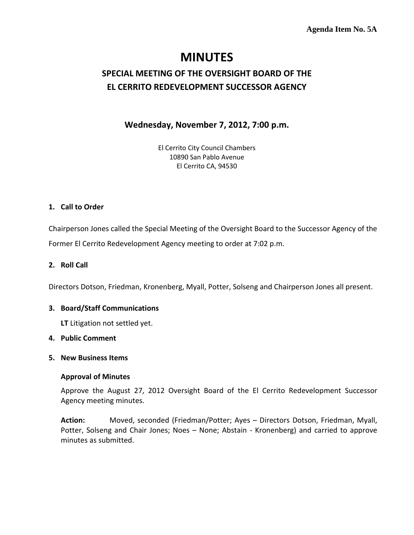## **Agenda Item No. 5A**

# **MINUTES**

## **SPECIAL MEETING OF THE OVERSIGHT BOARD OF THE EL CERRITO REDEVELOPMENT SUCCESSOR AGENCY**

**Wednesday, November 7, 2012, 7:00 p.m.**

El Cerrito City Council Chambers 10890 San Pablo Avenue El Cerrito CA, 94530

## **1. Call to Order**

Chairperson Jones called the Special Meeting of the Oversight Board to the Successor Agency of the Former El Cerrito Redevelopment Agency meeting to order at 7:02 p.m.

## **2. Roll Call**

Directors Dotson, Friedman, Kronenberg, Myall, Potter, Solseng and Chairperson Jones all present.

### **3. Board/Staff Communications**

**LT** Litigation not settled yet.

## **4. Public Comment**

### **5. New Business Items**

### **Approval of Minutes**

Approve the August 27, 2012 Oversight Board of the El Cerrito Redevelopment Successor Agency meeting minutes.

**Action:** Moved, seconded (Friedman/Potter; Ayes – Directors Dotson, Friedman, Myall, Potter, Solseng and Chair Jones; Noes – None; Abstain - Kronenberg) and carried to approve minutes as submitted.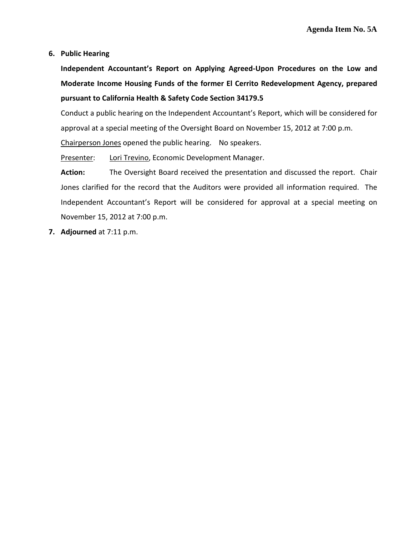**6. Public Hearing** 

**Independent Accountant's Report on Applying Agreed-Upon Procedures on the Low and Moderate Income Housing Funds of the former El Cerrito Redevelopment Agency, prepared pursuant to California Health & Safety Code Section 34179.5**

Conduct a public hearing on the Independent Accountant's Report, which will be considered for approval at a special meeting of the Oversight Board on November 15, 2012 at 7:00 p.m.

Chairperson Jones opened the public hearing. No speakers.

Presenter: Lori Trevino, Economic Development Manager.

**Action:** The Oversight Board received the presentation and discussed the report. Chair Jones clarified for the record that the Auditors were provided all information required. The Independent Accountant's Report will be considered for approval at a special meeting on November 15, 2012 at 7:00 p.m.

**7. Adjourned** at 7:11 p.m.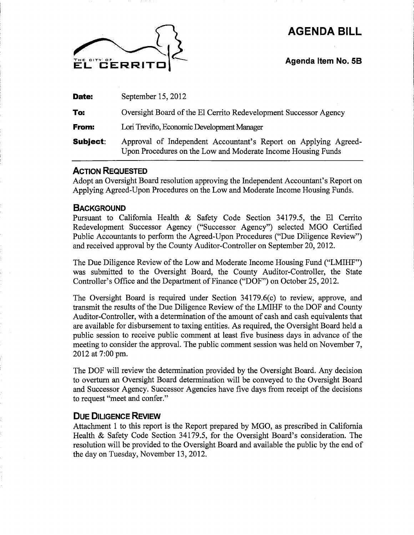# **AGENDA BILL**



**Agenda Item No. 58** 

| Date:           | September 15, 2012                                                                                                              |
|-----------------|---------------------------------------------------------------------------------------------------------------------------------|
| To:             | Oversight Board of the El Cerrito Redevelopment Successor Agency                                                                |
| From:           | Lori Treviño, Economic Development Manager                                                                                      |
| <b>Subject:</b> | Approval of Independent Accountant's Report on Applying Agreed-<br>Upon Procedures on the Low and Moderate Income Housing Funds |

## **ACTION REQUESTED**

Adopt an Oversight Board resolution approving the Independent Accountant's Report on Applying Agreed-Upon Procedures on the Low and Moderate Income Housing Funds.

## **BACKGROUND**

Pursuant to California Health & Safety Code Section 34179.5, the El Cerrito Redevelopment Successor Agency ("Successor Agency") selected MGO Certified Public Accountants to perform the Agreed-Upon Procedures ("Due Diligence Review") and received approval by the County Auditor-Controller on September 20, 2012.

The Due Diligence Review of the Low and Moderate Income Housing Fund ("LMIHF") was submitted to the Oversight Board, the County Auditor-Controller, the State Controller's Office and the Department of Finance ("DOF") on October 25, 2012.

The Oversight Board is required under Section 34179.6(c) to review, approve, and transmit the results of the Due Diligence Review of the LMIHF to the DOF and County Auditor-Controller, with a determination of the amount of cash and cash equivalents that are available for disbursement to taxing entities. As required, the Oversight Board held a public session to receive public comment at least five business days in advance of the meeting to consider the approval. The public comment session was held on November 7, 2012 at 7:00 pm.

The DOF will review the determination provided by the Oversight Board. Any decision to overturn an Oversight Board determination will be conveyed to the Oversight Board and Successor Agency. Successor Agencies have five days from receipt of the decisions to request "meet and confer."

## **DUE DILIGENCE REVIEW**

Attachment 1 to this report is the Report prepared by MGO, as prescribed in California Health & Safety Code Section 34179.5, for the Oversight Board's consideration. The resolution will be provided to the Oversight Board and available the public by the end of the day on Tuesday, November 13, 2012.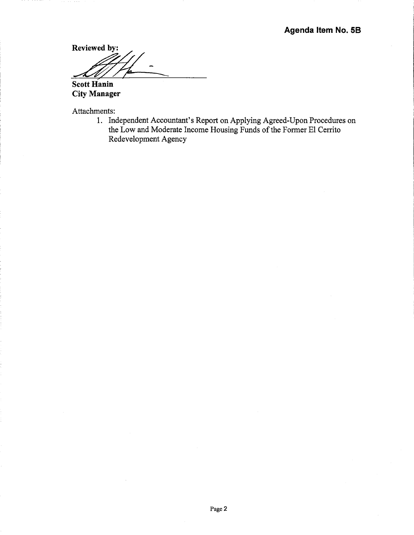Reviewed by: <u>A /i</u> **Scott Hanin** 

**City Manager** 

Attachments:

1. Independent Accountant's Report on Applying Agreed-Upon Procedures on the Low and Moderate Income Housing Funds of the Former El Cerrito Redevelopment Agency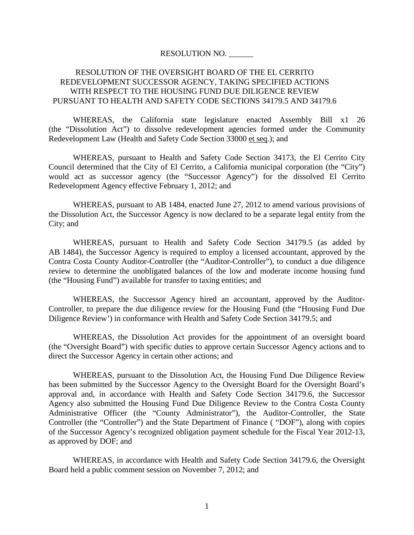#### RESOLUTION NO. \_\_\_\_\_\_

## RESOLUTION OF THE OVERSIGHT BOARD OF THE EL CERRITO REDEVELOPMENT SUCCESSOR AGENCY, TAKING SPECIFIED ACTIONS WITH RESPECT TO THE HOUSING FUND DUE DILIGENCE REVIEW PURSUANT TO HEALTH AND SAFETY CODE SECTIONS 34179.5 AND 34179.6

WHEREAS, the California state legislature enacted Assembly Bill x1 26 (the "Dissolution Act") to dissolve redevelopment agencies formed under the Community Redevelopment Law (Health and Safety Code Section 33000 et seq.); and

WHEREAS, pursuant to Health and Safety Code Section 34173, the El Cerrito City Council determined that the City of El Cerrito, a California municipal corporation (the "City") would act as successor agency (the "Successor Agency") for the dissolved El Cerrito Redevelopment Agency effective February 1, 2012; and

WHEREAS, pursuant to AB 1484, enacted June 27, 2012 to amend various provisions of the Dissolution Act, the Successor Agency is now declared to be a separate legal entity from the City; and

WHEREAS, pursuant to Health and Safety Code Section 34179.5 (as added by AB 1484), the Successor Agency is required to employ a licensed accountant, approved by the Contra Costa County Auditor-Controller (the "Auditor-Controller"), to conduct a due diligence review to determine the unobligated balances of the low and moderate income housing fund (the "Housing Fund") available for transfer to taxing entities; and

WHEREAS, the Successor Agency hired an accountant, approved by the Auditor-Controller, to prepare the due diligence review for the Housing Fund (the "Housing Fund Due Diligence Review') in conformance with Health and Safety Code Section 34179.5; and

WHEREAS, the Dissolution Act provides for the appointment of an oversight board (the "Oversight Board") with specific duties to approve certain Successor Agency actions and to direct the Successor Agency in certain other actions; and

WHEREAS, pursuant to the Dissolution Act, the Housing Fund Due Diligence Review has been submitted by the Successor Agency to the Oversight Board for the Oversight Board's approval and, in accordance with Health and Safety Code Section 34179.6, the Successor Agency also submitted the Housing Fund Due Diligence Review to the Contra Costa County Administrative Officer (the "County Administrator"), the Auditor-Controller, the State Controller (the "Controller") and the State Department of Finance ( "DOF"), along with copies of the Successor Agency's recognized obligation payment schedule for the Fiscal Year 2012-13, as approved by DOF; and

WHEREAS, in accordance with Health and Safety Code Section 34179.6, the Oversight Board held a public comment session on November 7, 2012; and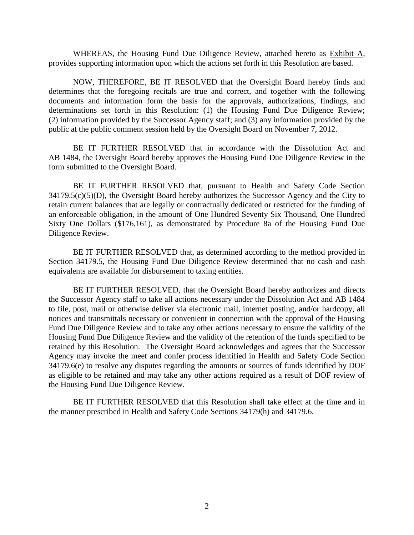WHEREAS, the Housing Fund Due Diligence Review, attached hereto as Exhibit A, provides supporting information upon which the actions set forth in this Resolution are based.

NOW, THEREFORE, BE IT RESOLVED that the Oversight Board hereby finds and determines that the foregoing recitals are true and correct, and together with the following documents and information form the basis for the approvals, authorizations, findings, and determinations set forth in this Resolution: (1) the Housing Fund Due Diligence Review; (2) information provided by the Successor Agency staff; and (3) any information provided by the public at the public comment session held by the Oversight Board on November 7, 2012.

BE IT FURTHER RESOLVED that in accordance with the Dissolution Act and AB 1484, the Oversight Board hereby approves the Housing Fund Due Diligence Review in the form submitted to the Oversight Board.

BE IT FURTHER RESOLVED that, pursuant to Health and Safety Code Section  $34179.5(c)(5)(D)$ , the Oversight Board hereby authorizes the Successor Agency and the City to retain current balances that are legally or contractually dedicated or restricted for the funding of an enforceable obligation, in the amount of One Hundred Seventy Six Thousand, One Hundred Sixty One Dollars (\$176,161), as demonstrated by Procedure 8a of the Housing Fund Due Diligence Review.

BE IT FURTHER RESOLVED that, as determined according to the method provided in Section 34179.5, the Housing Fund Due Diligence Review determined that no cash and cash equivalents are available for disbursement to taxing entities.

BE IT FURTHER RESOLVED, that the Oversight Board hereby authorizes and directs the Successor Agency staff to take all actions necessary under the Dissolution Act and AB 1484 to file, post, mail or otherwise deliver via electronic mail, internet posting, and/or hardcopy, all notices and transmittals necessary or convenient in connection with the approval of the Housing Fund Due Diligence Review and to take any other actions necessary to ensure the validity of the Housing Fund Due Diligence Review and the validity of the retention of the funds specified to be retained by this Resolution. The Oversight Board acknowledges and agrees that the Successor Agency may invoke the meet and confer process identified in Health and Safety Code Section 34179.6(e) to resolve any disputes regarding the amounts or sources of funds identified by DOF as eligible to be retained and may take any other actions required as a result of DOF review of the Housing Fund Due Diligence Review.

BE IT FURTHER RESOLVED that this Resolution shall take effect at the time and in the manner prescribed in Health and Safety Code Sections 34179(h) and 34179.6.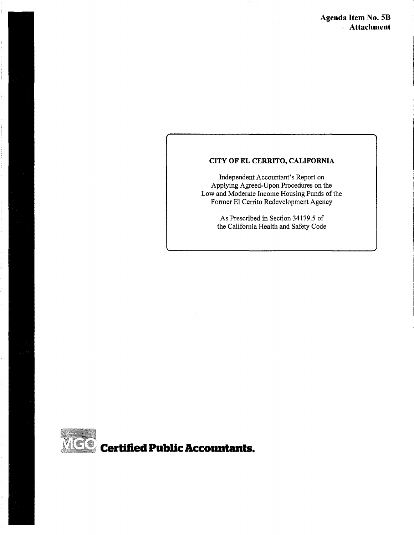## **CITY OF EL CERRITO, CALIFORNIA**

Independent Accountant's Report on Applying Agreed-Upon Procedures on the Low and Moderate Income Housing Funds of the Former El Cerrito Redevelopment Agency

> As Prescribed in Section 34179.5 of the California Health and Safety Code

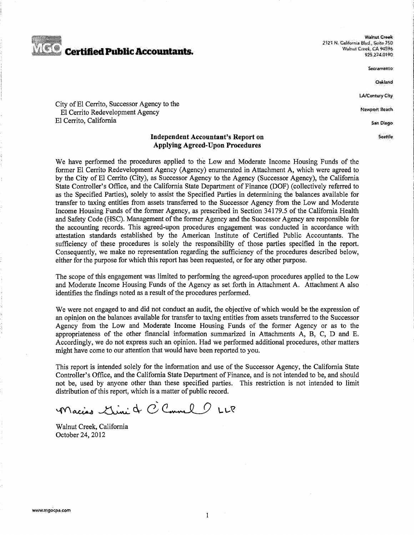

Walnut Creek *2* ~:?'i *N,* C<illft>,nia S!wl, ~nil& *ISO*  Walnut Creek, CA 94596 925.274,0190

Sacramento

Oskland

LA/Century City

**Newport Beach** 

San Diego

Seattle

#### City of El Cerrito, Successor Agency to the El Cerrito Redevelopment Agency El Cerrito, California

#### **Independent Accountant's Report on Applying Agreed-Upon Procedures**

We have performed the procedures applied to the Low and Moderate Income Housing Funds of the former El Cerrito Redevelopment Agency (Agency) enumerated in Attachment A, which were agreed to by the City of El Cerrito (City), as Successor Agency to the Agency (Successor Agency), the California State Controller's Office, and the California State Department of Finance (DOF) (collectively referred to as the Specified Parties), solely to assist the Specified Parties in determining the balances available for transfer to taxing entities from assets transferred to the Successor Agency from the Low and Moderate Income Housing Funds of the former Agency, as prescribed in Section 34179.5 of the California Health and Safety Code (HSC). Management of the former Agency and the Successor Agency are responsible for the accounting records. This agreed-upon procedures engagement was conducted in accordance with attestation standards established by the American Institute of Certified Public Accountants. The sufficiency of these procedures is solely the responsibility of those parties specified in the report. Consequently, we make no representation regarding the sufficiency of the procedures described below, either for the purpose for which this report has been requested, or for any other purpose.

The scope of this engagement was limited to performing the agreed-upon procedures applied to the Low and Moderate Income Housing Funds of the Agency as set forth in Attachment A. Attachment A also identifies the findings noted as a result of the procedures performed.

We were not engaged to and did not conduct an audit, the objective of which would be the expression of an opinion on the balances available for transfer to taxing entities from assets transferred to the Successor Agency from the Low and Moderate Income Housing Funds of the former Agency or as to the appropriateness of the other financial information summarized in Attachments A, B, C, D and E. Accordingly, we do not express such an opinion. Had we performed additional procedures, other matters might have come to our attention that would have been reported to you.

This report is intended solely for the information and use of the Successor Agency, the California State Controller's Office, and the California State Department of Finance, and is not intended to be, and should not be, used by anyone other than these specified parties. This restriction is not intended to limit distribution of this report, which is a matter of public record.

Macias Simi & C Camel ULP

Walnut Creek, California October 24, 2012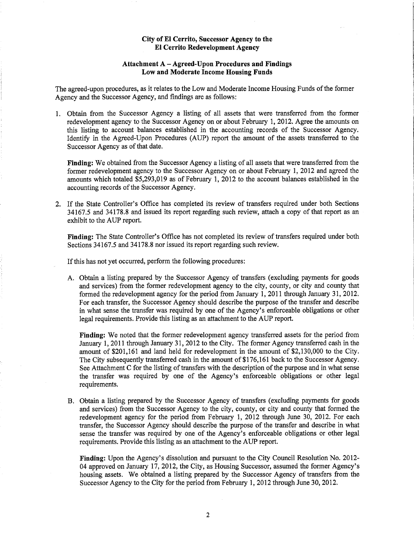#### **Attachment A- Agreed-Upon Procedures and Findings Low and Moderate Income Housing Funds**

The agreed-upon procedures, as it relates to the Low and Moderate Income Housing Funds of the former Agency and the Successor Agency, and findings are as follows:

1. Obtain from the Successor Agency a listing of all assets that were transferred from the former redevelopment agency to the Successor Agency on or about February 1, 2012. Agree the amounts on this listing to account balances established in the accounting records of the Successor Agency. Identify in the Agreed-Upon Procedures (AUP) report the amount of the assets transferred to the Successor Agency as of that date.

**Finding:** We obtained from the Successor Agency a listing of all assets that were transferred from the former redevelopment agency to the Successor Agency on or about February 1, 2012 and agreed the amounts which totaled  $$5,293,019$  as of February 1, 2012 to the account balances established in the accounting records of the Successor Agency.

2. If the State Controller's Office has completed its review of transfers required under both Sections 34167.5 and 34178.8 and issued its report regarding such review, attach a copy of that report as an exhibit to the AUP report.

**Finding:** The State Controller's Office has not completed its review of transfers required under both Sections 34167.5 and 34178.8 nor issued its report regarding such review.

If this has not yet occurred, perform the following procedures:

A. Obtain a listing prepared by the Successor Agency of transfers (excluding payments for goods and services) from the former redevelopment agency to the city, county, or city and county that formed the redevelopment agency for the period from January 1, 2011 through January 31, 2012. For each transfer, the Successor Agency should describe the purpose of the transfer and describe in what sense the transfer was required by one of the Agency's enforceable obligations or other legal requirements. Provide this listing as an attachment to the AUP report.

**Finding:** We noted that the former redevelopment agency transferred assets for the period from January 1, 2011 through January 31, 2012 to the City. The former Agency transferred cash in the amount of \$201,161 and land held for redevelopment in the amount of \$2,130,000 to the City. The City subsequently transferred cash in the amount of \$176,161 back to the Successor Agency. See Attachment C for the listing of transfers with the description of the purpose and in what sense the transfer was required by one of the Agency's enforceable obligations or other legal requirements.

B. Obtain a listing prepared by the Successor Agency of transfers (excluding payments for goods and services) from the Successor Agency to the city, county, or city and county that formed the redevelopment agency for the period from February 1, 2012 through June 30, 2012. For each transfer, the Successor Agency should describe the purpose of the transfer and describe in what sense the transfer was required by one of the Agency's enforceable obligations or other legal requirements. Provide this listing as an attachment to the AUP report.

**Finding:** Upon the Agency's dissolution and pursuant to the City Council Resolution No. 2012- 04 approved on January 17, 2012, the City, as Housing Successor, assumed the former Agency's housing assets. We obtained a listing prepared by the Successor Agency of transfers from the Successor Agency to the City for the period from February 1, 2012 through June 30, 2012.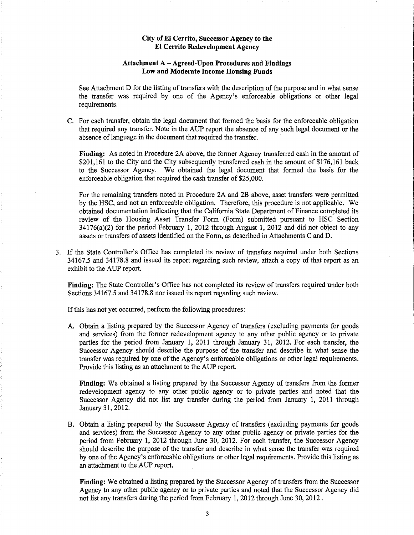#### **Attachment A- Agreed-Upon Procedures and Findings Low and Moderate Income Housing Funds**

See Attachment D for the listing of transfers with the description of the purpose and in what sense the transfer was required by one of the Agency's enforceable obligations or other legal requirements.

C. For each transfer, obtain the legal document that formed the basis for the enforceable obligation that required any transfer. Note in the AUP report the absence of any such legal document or the absence of language in the document that required the transfer.

**Finding:** As noted in Procedure 2A above, the former Agency transferred cash in the amount of \$201,161 to the City and the City subsequently transferred cash in the amount of \$176,161 back to the Successor Agency. We obtained the legal document that formed the basis for the enforceable obligation that required the cash transfer of \$25,000.

For the remaining transfers noted in Procedure 2A and 2B above, asset transfers were permitted by the HSC, and not an enforceable obligation. Therefore, this procedure is not applicable. We obtained documentation indicating that the California State Department of Finance completed its review of the Housing Asset Transfer Form (Form) submitted pursuant to HSC Section 34176(a)(2) for the period February 1, 2012 through August 1, 2012 and did not object to any assets or transfers of assets identified on the Form, as described in Attachments C and D.

3. If the State Controller's Office has completed its review of transfers required under both Sections 34167.5 and 34178.8 and issued its report regarding such review, attach a copy of that report as an exhibit to the AUP report.

**Finding:** The State Controller's Office has not completed its review of transfers required under both Sections 34167.5 and 34178.8 nor issued its report regarding such review.

If this has not yet occurred, perform the following procedures:

A. Obtain a listing prepared by the Successor Agency of transfers (excluding payments for goods and services) from the former redevelopment agency to any other public agency or to private parties for the period from January 1, 2011 through January 31, 2012. For each transfer, the Successor Agency should describe the purpose of the transfer and describe in what sense the transfer was required by one of the Agency's enforceable obligations or other legal requirements. Provide this listing as an attachment to the AUP report.

**Finding:** We obtained a listing prepared by the Successor Agency of transfers from the former redevelopment agency to any other public agency or to private parties and noted that the Successor Agency did not list any transfer during the period from January 1, 2011 through January 31,2012.

B. Obtain a listing prepared by the Successor Agency of transfers (excluding payments for goods and services) from the Successor Agency to any other public agency or private parties for the period from February 1, 2012 through June 30, 2012. For each transfer, the Successor Agency should describe the purpose of the transfer and describe in what sense the transfer was required by one of the Agency's enforceable obligations or other legal requirements. Provide this listing as an attachment to the AUP report.

**Finding:** We obtained a listing prepared by the Successor Agency of transfers from the Successor Agency to any other public agency or to private parties and noted that the Successor Agency did not list any transfers during the period from February 1, 2012 through June 30, 2012.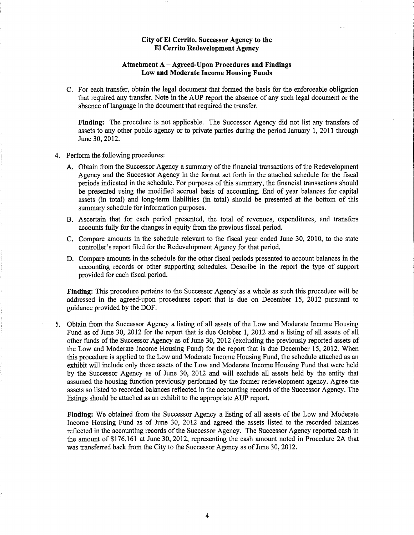#### **Attachment A- Agreed-Upon Procedures and Findings Low and Moderate Income Housing Funds**

C. For each transfer, obtain the legal document that formed the basis for the enforceable obligation that required any transfer. Note in the AUP report the absence of any such legal document or the absence of language in the document that required the transfer.

Finding: The procedure is not applicable. The Successor Agency did not list any transfers of assets to any other public agency or to private parties during the period January 1, 2011 through June 30, 2012.

- 4. Perform the following procedures:
	- A. Obtain from the Successor Agency a summary of the financial transactions of the Redevelopment Agency and the Successor Agency in the format set forth in the attached schedule for the fiscal periods indicated in the schedule. For purposes of this summary, the fmancial transactions should be presented using the modified accrual basis of accounting. End of year balances for capital assets (in total) and long-term liabilities (in total) should be presented at the bottom of this summary schedule for information purposes.
	- B. Ascertain that for each period presented, the total of revenues, expenditures, and transfers accounts fully for the changes in equity from the previous fiscal period.
	- C. Compare amounts in the schedule relevant to the fiscal year ended June 30, 2010, to the state controller's report filed for the Redevelopment Agency for that period.
	- D. Compare amounts in the schedule for the other fiscal periods presented to account balances in the accounting records or other supporting schedules. Describe in the report the type of support provided for each fiscal period.

**Finding:** This procedure pertains to the Successor Agency as a whole as such this procedure will be addressed in the agreed-upon procedures report that is due on December 15, 2012 pursuant to guidance provided by the DOF.

5. Obtain from the Successor Agency a listing of all assets of the Low and Moderate Income Housing Fund as of June 30, 2012 for the report that is due October 1, 2012 and a listing of all assets of all other funds of the Successor Agency as of June 30, 2012 (excluding the previously reported assets of the Low and Moderate Income Housing Fund) for the report that is due December 15, 2012. When this procedure is applied to the Low and Moderate Income Housing Fund, the schedule attached as an exhibit will include only those assets of the Low and Moderate Income Housing Fund that were held by the Successor Agency as of June 30, 2012 and will exclude all assets held by the entity that assumed the housing function previously performed by the former redevelopment agency. Agree the assets so listed to recorded balances reflected in the accounting records of the Successor Agency. The listings should be attached as an exhibit to the appropriate AUP report.

**Finding:** We obtained from the Successor Agency a listing of all assets of the Low and Moderate Income Housing Fund as of June 30, 2012 and agreed the assets listed to the recorded balances reflected in the accounting records of the Successor Agency. The Successor Agency reported cash in the amount of \$176,161 at June 30, 2012, representing the cash amount noted in Procedure 2A that was transferred back from the City to the Successor Agency as of June 30,2012.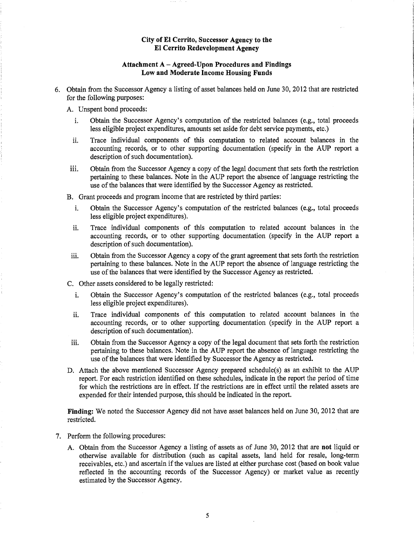#### **Attachment A- Agreed-Upon Procedures and Findings Low and Moderate Income Housing Funds**

- 6. Obtain from the Successor Agency a listing of asset balances held on June 30, 2012 that are restricted for the following purposes:
	- A. Unspent bond proceeds:
		- i. Obtain the Successor Agency's computation of the restricted balances (e.g., total proceeds less eligible project expenditures, amounts set aside for debt service payments, etc.)
		- ii. Trace individual components of this computation to related account balances in the accounting records, or to other supporting documentation (specify in the AUP report a description of such documentation).
	- 111. Obtain from the Successor Agency a copy of the legal document that sets forth the restriction pertaining to these balances. Note in the AUP report the absence of language restricting the use of the balances that were identified by the Successor Agency as restricted.
	- B. Grant proceeds and program income that are restricted by third parties:
		- i. Obtain the Successor Agency's computation of the restricted balances (e.g., total proceeds less eligible project expenditures).
		- ii. Trace individual components of this computation to related account balances in the accounting records, or to other supporting documentation (specify in the AUP report a description of such documentation).
		- iii. Obtain from the Successor Agency a copy of the grant agreement that sets forth the restriction pertaining to these balances. Note in the AUP report the absence of language restricting the use of the balances that were identified by the Successor Agency as restricted.
	- C. Other assets considered to be legally restricted:
		- i. Obtain the Successor Agency's computation of the restricted balances (e.g., total proceeds less eligible project expenditures).
		- ii. Trace individual components of this computation to related account balances in the accounting records, or to other supporting documentation (specify in the AUP report a description of such documentation).
	- iii. Obtain from the Successor Agency a copy of the legal document that sets forth the restriction pertaining to these balances. Note in the AUP report the absence of language restricting the use of the balances that were identified by Successor the Agency as restricted.
	- D. Attach the above mentioned Successor Agency prepared schedule(s) as an exhibit to the AUP report. For each restriction identified on these schedules, indicate in the report the period of time for which the restrictions are in effect. If the restrictions are in effect until the related assets are expended for their intended purpose, this should be indicated in the report.

**Finding:** We noted the Successor Agency did not have asset balances held on June 30, 2012 that are restricted.

- 7. Perform the following procedures:
	- A. Obtain from the Successor Agency a listing of assets as of June 30, 2012 that are **not** liquid or otherwise available for distribution (such as capital assets, land held for resale, long-term receivables, etc.) and ascertain if the values are listed at either purchase cost (based on book value reflected in the accounting records of the Successor Agency) or market value as recently estimated by the Successor Agency.

5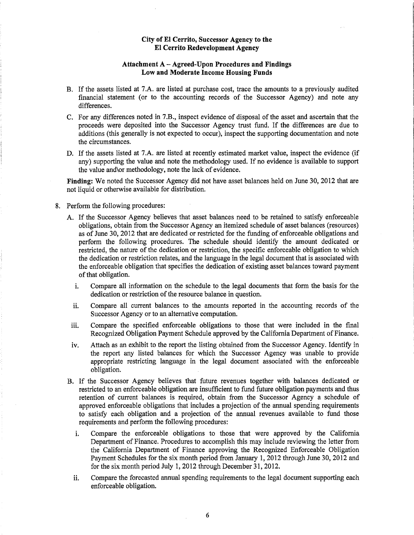#### **Attachment A- Agreed-Upon Procedures and Findings Low and Moderate Income Housing Funds**

- B. If the assets listed at 7.A. are listed at purchase cost, trace the amounts to a previously audited financial statement (or to the accounting records of the Successor Agency) and note any differences.
- C. For any differences noted in 7.B., inspect evidence of disposal of the asset and ascertain that the proceeds were deposited into the Successor Agency trust fund. If the differences are due to additions (this generally is not expected to occur), inspect the supporting documentation and note the circumstances.
- D. If the assets listed at 7.A. are listed at recently estimated market value, inspect the evidence (if any) supporting the value and note the methodology used. If no evidence is available to support the value and\or methodology, note the lack of evidence.

**Finding:** We noted the Successor Agency did not have asset balances held on June 30, 2012 that are not liquid or otherwise available for distribution.

- 8. Perform the following procedures:
	- A. If the Successor Agency believes that asset balances need to be retained to satisfy enforceable obligations, obtain from the Successor Agency an itemized schedule of asset balances (resources) as of June 30, 2012 that are dedicated or restricted for the funding of enforceable obligations and perform the following procedures. The schedule should identify the amount dedicated or restricted, the nature of the dedication or restriction, the specific enforceable obligation to which the dedication or restriction relates, and the language in the legal document that is associated with the enforceable obligation that specifies the dedication of existing asset balances toward payment of that obligation.
		- i. Compare all information on the schedule to the legal documents that form the basis for the dedication or restriction of the resource balance in question.
		- ii. Compare all current balances to the amounts reported in the accounting records of the Successor Agency or to an alternative computation.
	- iii. Compare the specified enforceable obligations to those that were included in the final Recognized Obligation Payment Schedule approved by the California Department of Finance.
	- iv. Attach as an exhibit to the report the listing obtained from the Successor Agency. Identify in the report any listed balances for which the Successor Agency was unable to provide appropriate restricting language in the legal document associated with the enforceable obligation.
	- B. If the Successor Agency believes that future revenues together with balances dedicated or restricted to an enforceable obligation are insufficient to fund future obligation payments and thus retention of current balances is required, obtain from the Successor Agency a schedule of approved enforceable obligations that includes a projection of the annual spending requirements to satisfy each obligation and a projection of the annual revenues available to fund those requirements and perform the following procedures:
		- i. Compare the enforceable obligations to those that were approved by the California Department of Finance. Procedures to accomplish this may include reviewing the letter from the California Department of Finance approving the Recognized Enforceable Obligation Payment Schedules for the six month period from January 1, 2012 through June 30, 2012 and for the six month period July 1, 2012 through December 31, 2012.
		- ii. Compare the forecasted annual spending requirements to the legal document supporting each enforceable obligation.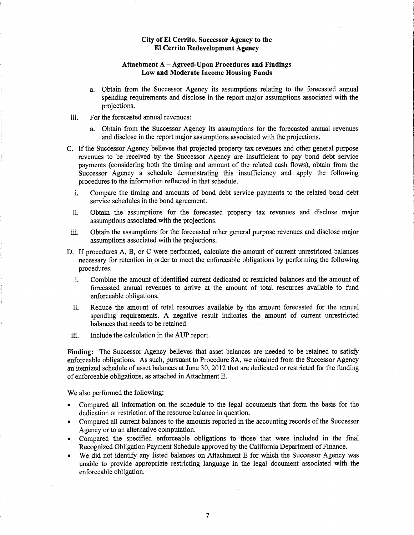#### **Attachment A- Agreed-Upon Procedures and Findings Low and Moderate Income Housing Funds**

- a. Obtain from the Successor Agency its assumptions relating to the forecasted annual spending requirements and disclose in the report major assumptions associated with the projections.
- iii. For the forecasted annual revenues:
	- a. Obtain from the Successor Agency its assumptions for the forecasted annual revenues and disclose in the report major assumptions associated with the projections.
- C. If the Successor Agency believes that projected property tax revenues and other general purpose revenues to be received by the Successor Agency are insufficient to pay bond debt service payments (considering both the timing and amount of the related cash flows), obtain from the Successor Agency a schedule demonstrating this insufficiency and apply the following procedures to the information reflected in that schedule.
	- i. Compare the timing and amounts of bond debt service payments to the related bond debt service schedules in the bond agreement.
	- ii. Obtain the assumptions for the forecasted property tax revenues and disclose major assumptions associated with the projections.
- iii. Obtain the assumptions for the forecasted other general purpose revenues and disclose major assumptions associated with the projections.
- D. If procedures A, B, or C were performed, calculate the amount of current unrestricted balances necessary for retention in order to meet the enforceable obligations by performing the following procedures.
	- i. Combine the amount of identified current dedicated or restricted balances and the amount of forecasted annual revenues to arrive at the amount of total resources available to fund enforceable obligations.
	- ii. Reduce the amount of total resources available by the amount forecasted for the annual spending requirements. A negative result indicates the amount of current unrestricted balances that needs to be retained.
- iii. Include the calculation in the AUP report.

**Finding:** The Successor Agency believes that asset balances are needed to be retained to satisfy enforceable obligations. As such, pursuant to Procedure SA, we obtained from the Successor Agency an itemized schedule of asset balances at June 30, 2012 that are dedicated or restricted for the funding of enforceable obligations, as attached in Attachment E.

We also performed the following:

- Compared all information on the schedule to the legal documents that form the basis for the dedication or restriction of the resource balance in question.
- Compared all current balances to the amounts reported in the accounting records of the Successor Agency or to an alternative computation.
- Compared the specified enforceable obligations to those that were included in the final Recognized Obligation Payment Schedule approved by the California Department of Finance.
- We did not identify any listed balances on Attachment E for which the Successor Agency was unable to provide appropriate restricting language in the legal document associated with the enforceable obligation.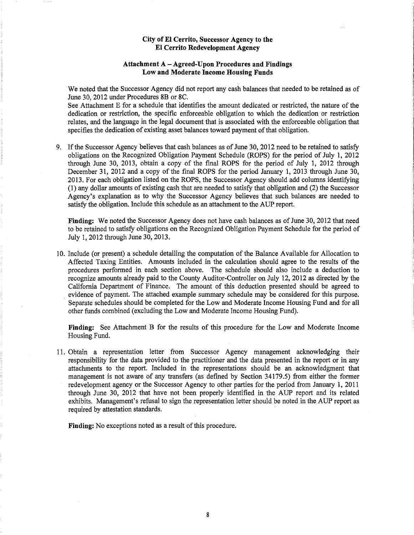#### **Attachment A- Agreed-Upon Procedures and Findings Low and Moderate Income Housing Funds**

We noted that the Successor Agency did not report any cash balances that needed to be retained as of June 30, 2012 under Procedures 8B or 8C.

See Attachment E for a schedule that identifies the amount dedicated or restricted, the nature of the dedication or restriction, the specific enforceable obligation to which the dedication or restriction relates, and the language in the legal document that is associated with the enforceable obligation that specifies the dedication of existing asset balances toward payment of that obligation.

9. If the Successor Agency believes that cash balances as of June 30, 2012 need to be retained to satisfy obligations on the Recognized Obligation Payment Schedule (ROPS) for the period of July 1, 2012 through June 30, 2013, obtain a copy of the final ROPS for the period of July 1, 2012 through December 31, 2012 and a copy of the final ROPS for the period January 1, 2013 through June 30, 2013. For each obligation listed on the ROPS, the Successor Agency should add columns identifying (1) any dollar amounts of existing cash that are needed to satisfy that obligation and (2) the Successor Agency's explanation as to why the Successor Agency believes that such balances are needed to satisfy the obligation. Include this schedule as an attachment to the AUP report.

**Finding:** We noted the Successor Agency does not have cash balances as of June 30, 2012 that need to be retained to satisfy obligations on the Recognized Obligation Payment Schedule for the period of July 1, 2012 through June 30, 2013.

10. Include (or present) a schedule detailing the computation of the Balance Available for Allocation to Affected Taxing Entities. Amounts included in the calculation should agree to the results of the procedures performed in each section above. The schedule should also include a deduction to recognize amounts already paid to the County Auditor-Controller on July 12, 2012 as directed by the California Department of Finance. The amount of this deduction presented should be agreed to evidence of payment. The attached example summary schedule may be considered for this purpose. Separate schedules should be completed for the Low and Moderate Income Housing Fund and for all other funds combined (excluding the Low and Moderate Income Housing Fund).

**Finding:** See Attachment B for the results of this procedure for the Low and Moderate Income Housing Fund.

11. Obtain a representation letter from Successor Agency management acknowledging their responsibility for the data provided to the practitioner and the data presented in the report or in any attachments to the report. Included in the representations should be an acknowledgment that management is not aware of any transfers (as defined by Section 34179.5) from either the former redevelopment agency or the Successor Agency to other parties for the period from January 1, 2011 through June 30, 2012 that have not been properly identified in the AUP report and its related exhibits. Management's refusal to sign the representation letter should be noted in the AUP report as required by attestation standards.

**Finding:** No exceptions noted as a result of this procedure.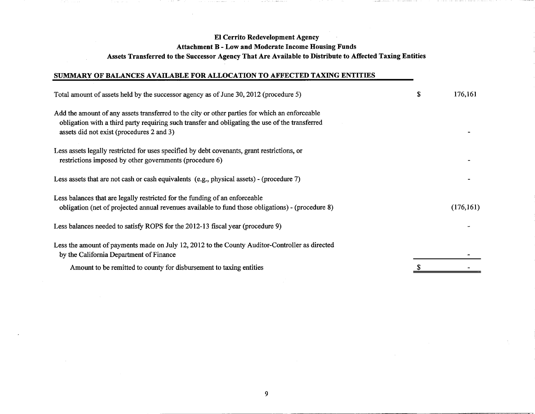## El Cerrito Redevelopment Agency Attachment B - Low and Moderate Income Housing Funds Assets Transferred to the Successor Agency That Are Available to Distribute to Affected Taxing Entities

## SUMMARY OF BALANCES AVAILABLE FOR ALLOCATION TO AFFECTED TAXING ENTITIES

1980

| Total amount of assets held by the successor agency as of June 30, 2012 (procedure 5)                                                                                                                                                          | \$<br>176,161 |
|------------------------------------------------------------------------------------------------------------------------------------------------------------------------------------------------------------------------------------------------|---------------|
| Add the amount of any assets transferred to the city or other parties for which an enforceable<br>obligation with a third party requiring such transfer and obligating the use of the transferred<br>assets did not exist (procedures 2 and 3) |               |
| Less assets legally restricted for uses specified by debt covenants, grant restrictions, or<br>restrictions imposed by other governments (procedure 6)                                                                                         |               |
| Less assets that are not cash or cash equivalents (e.g., physical assets) - (procedure 7)                                                                                                                                                      |               |
| Less balances that are legally restricted for the funding of an enforceable<br>obligation (net of projected annual revenues available to fund those obligations) - (procedure 8)                                                               | (176, 161)    |
| Less balances needed to satisfy ROPS for the 2012-13 fiscal year (procedure 9)                                                                                                                                                                 |               |
| Less the amount of payments made on July 12, 2012 to the County Auditor-Controller as directed<br>by the California Department of Finance                                                                                                      |               |
| Amount to be remitted to county for disbursement to taxing entities                                                                                                                                                                            |               |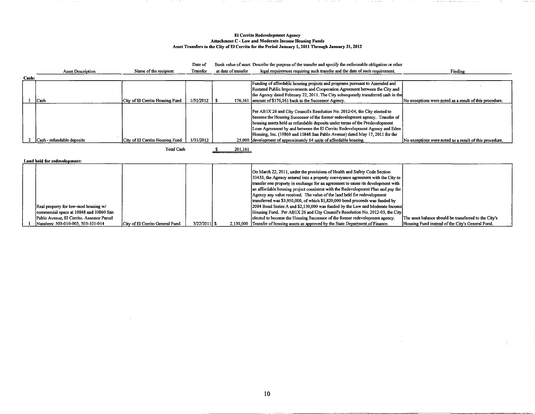#### El Cerrito Redevelopment Agency Attachment C - Low and Moderate Income Housing Funds Asset Transfers to the City of El Cerrito for the Period January 1, 2011 Through January 31, 2012

Asset Description Cash: 1 Cash 2 Cash - refundable deposits Name of the recipient City of El Cerrito Housing Fund City of El Cerrito Housing Fund Total Cash Date of Transfer Book value of asset Describe the purpose of the transfer and specify the enforceable obligation or other at date of transfer legal requirement requiring such transfer and the date of such requirement. Funding of affordable housing projects and programs pursuant to Amended and Restated Public Improvements and Cooperation Agreement between the City and the Agency dated February 22, 2011. The City subsequently transferred cash in the 1/31/2012 \ \$ 176,161 amount of \$176,161 back to the Successor Agency. Per AB1X 26 and City Council's Resolution No. 2012-04, the City elected to become the Housing Successor of the former redevelopment agency. Transfer of housing assets held as refundable deposits under terms of the Predevelopment Loan Agreement by and between the E1 Cerrito Redevelopment Agency and Eden Housing, Inc. (10860 and 10848 San Pablo Avenue) dated May 17,2011 for the 1/31/2012 25,000 development of approximately 64 units of affordable housing. \$ 201,161 Finding No exceptions were noted as a result of this procedure. No exceptions were noted as a result of this procedure.

Land held for redevelopment:

| Real property for low-mod housing w/<br>commercial space at 10848 and 10860 San |                                 |              | On March 22, 2011, under the provisions of Health and Safety Code Section<br>$33433$ , the Agency entered into a property conveyance agreement with the City to<br>transfer one property in exchange for an agreement to cause its development with<br>an affordable housing project consistent with the Redevelopment Plan and pay the<br>Agency any value received. The value of the land held for redevelopment<br>transferred was \$3,950,000, of which \$1,820,000 bond proceeds was funded by<br>[2004 Bond Series A and \$2,130,000 was funded by the Low and Moderate Income]<br>Housing Fund. Per AB1X 26 and City Council's Resolution No. 2012-03, the City | The asset balance should be transferred to the City's |
|---------------------------------------------------------------------------------|---------------------------------|--------------|------------------------------------------------------------------------------------------------------------------------------------------------------------------------------------------------------------------------------------------------------------------------------------------------------------------------------------------------------------------------------------------------------------------------------------------------------------------------------------------------------------------------------------------------------------------------------------------------------------------------------------------------------------------------|-------------------------------------------------------|
| Pablo Avenue, El Cerrito, Assessor Parcel                                       |                                 |              | elected to become the Housing Successor of the former redevelopment agency.                                                                                                                                                                                                                                                                                                                                                                                                                                                                                                                                                                                            |                                                       |
| Numbers: 503-010-003, 503-101-014                                               | City of El Cerrito General Fund | 3/22/2011 \$ | 2.130,000 Transfer of housing assets as approved by the State Department of Finance.                                                                                                                                                                                                                                                                                                                                                                                                                                                                                                                                                                                   | Housing Fund instead of the City's General Fund.      |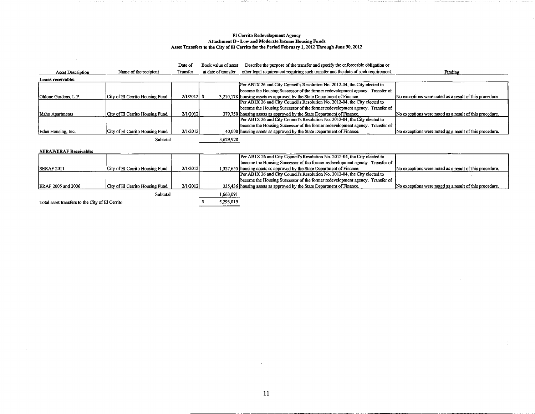## El Cerrito Redevelopment Agency Attachment D- Low and Moderate Income Housing Funds Asset Transfers to the City of El Cerrito for the Period February 1, 2012 Through June 30, 2012

Date of Book value of asset Describe the purpose of the transfer and specify the enforceable obligation or

| <b>Asset Description</b> | Name of the recipient           | Transfer      | at date of transfer | other legal requirement requiring such transfer and the date of such requirement. | Finding                                                 |
|--------------------------|---------------------------------|---------------|---------------------|-----------------------------------------------------------------------------------|---------------------------------------------------------|
| Loans receivable:        |                                 |               |                     |                                                                                   |                                                         |
|                          |                                 |               |                     | [Per AB1X 26 and City Council's Resolution No. 2012-04, the City elected to       |                                                         |
|                          |                                 |               |                     | become the Housing Successor of the former redevelopment agency. Transfer of      |                                                         |
| Ohlone Gardens, L.P.     | City of El Cerrito Housing Fund | $2/1/2012$ \$ |                     | 3,210,178 housing assets as approved by the State Department of Finance.          | No exceptions were noted as a result of this procedure. |
|                          |                                 |               |                     | Per AB1X 26 and City Council's Resolution No. 2012-04, the City elected to        |                                                         |
|                          |                                 |               |                     | become the Housing Successor of the former redevelopment agency. Transfer of      |                                                         |
| Idaho Apartments         | City of El Cerrito Housing Fund | 2/1/2012      |                     | 379,750 housing assets as approved by the State Department of Finance.            | No exceptions were noted as a result of this procedure. |
|                          |                                 |               |                     | Per AB1X 26 and City Council's Resolution No. 2012-04, the City elected to        |                                                         |
|                          |                                 |               |                     | become the Housing Successor of the former redevelopment agency. Transfer of      |                                                         |
| Eden Housing, Inc.       | City of El Cerrito Housing Fund | 2/1/2012      |                     | 40,000 housing assets as approved by the State Department of Finance.             | No exceptions were noted as a result of this procedure. |
|                          | Subtotal                        |               | 3,629,928           |                                                                                   |                                                         |

SERAFIERAF Receivable'

 $\sim$ 

| <b>BERGETERETH INCLUSION.</b>                   |                                 |          |           |                                                                              |                                                         |  |  |
|-------------------------------------------------|---------------------------------|----------|-----------|------------------------------------------------------------------------------|---------------------------------------------------------|--|--|
|                                                 |                                 |          |           | Per AB1X 26 and City Council's Resolution No. 2012-04, the City elected to   |                                                         |  |  |
|                                                 |                                 |          |           | become the Housing Successor of the former redevelopment agency. Transfer of |                                                         |  |  |
| <b>ISERAF 2011</b>                              | City of El Cerrito Housing Fund | 2/1/2012 |           | 1.327.655 housing assets as approved by the State Department of Finance.     | No exceptions were noted as a result of this procedure. |  |  |
|                                                 |                                 |          |           | Per AB1X 26 and City Council's Resolution No. 2012-04, the City elected to   |                                                         |  |  |
|                                                 |                                 |          |           | become the Housing Successor of the former redevelopment agency. Transfer of |                                                         |  |  |
| ERAF 2005 and 2006                              | City of El Cerrito Housing Fund | 2/1/2012 |           | 335,436 housing assets as approved by the State Department of Finance.       | No exceptions were noted as a result of this procedure. |  |  |
|                                                 | Subtotal                        |          | 1,663,091 |                                                                              |                                                         |  |  |
| Total asset transfers to the City of El Cerrito |                                 |          | 5,293,019 |                                                                              |                                                         |  |  |